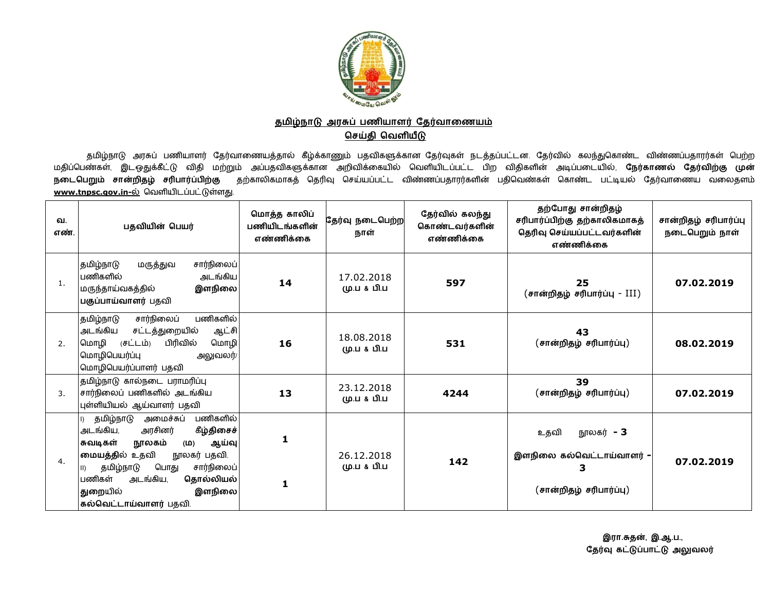

## <u>தமிழ்நாடு அரசுப் பணியாளர் தேர்வாணையம்</u> **ெசதி ெவளய**

தமிழ்நாடு அரசுப் பணியாளர் தேர்வாணையத்தால் கீழ்க்காணும் பதவிகளுக்கான தேர்வுகள் நடத்தப்பட்டன. தேர்வில் கலந்துகொண்ட விண்ணப்பதாரர்கள் பெற்ற<br>ச்சான் இட வார்பீட்டு விடி மற்றும் ஆய்யாவொழுத்தான வலிலிக்கொயில், மெலியிடய்யப் பிற விரி மதிப்பெண்கள், இடஒதுக்கீட்டு விதி மற்றும் அப்பதவிகளுக்கான அறிவிக்கையில் வெளியிடப்பட்ட பிற விதிகளின் அடிப்படையில், **நேர்காணல் தேர்விற்கு முன்** <mark>நடைபெறும் சான்றிதழ் சரிபார்ப்பிற்கு</mark> தற்காலிகமாகத் தெரிவு செய்யப்பட்ட விண்ணப்பதாரர்களின் பதிவெண்கள் கொண்ட பட்டியல் தேர்வாணைய வலைதளம் <u>www.tnpsc.gov.in-ல்</u> வெளியிடப்பட்டுள்ளது.

| வ.<br>எண்.     | பதவியின் பெயர்                                                                                                                                                                                                                                                                          | மொத்த காலிப்<br>பணியிடங்களின்<br>எண்ணிக்கை | தேர்வு நடைபெற்ற <br>நாள்  | தேர்வில் கலந்து<br>கொண்டவர்களின்<br>எண்ணிக்கை | தற்போது சான்றிதழ்<br>சரிபார்ப்பிற்கு தற்காலிகமாகத்<br>தெரிவு செய்யப்பட்டவர்களின்<br>எண்ணிக்கை | சான்றிதழ் சரிபார்ப்பு<br>நடைபெறும் நாள் |
|----------------|-----------------------------------------------------------------------------------------------------------------------------------------------------------------------------------------------------------------------------------------------------------------------------------------|--------------------------------------------|---------------------------|-----------------------------------------------|-----------------------------------------------------------------------------------------------|-----------------------------------------|
| 1.             | சார்நிலைப்<br>தமிழ்நாடு<br>மருத்துவ<br>பணிகளில்<br>அடங்கிய<br>இளநிலை<br>மருந்தாய்வகத்தில்<br>பகுப்பாய்வாளர் பதவி                                                                                                                                                                        | 14                                         | 17.02.2018<br>மு.ப & பி.ப | 597                                           | 25<br>(சான்றிதழ் சரிபார்ப்பு - III)                                                           | 07.02.2019                              |
| 2.             | பணிகளில்<br>சார்நிலைப்<br>தமிழ்நாடு<br>அடங்கிய<br>சட்டத்துறையில்<br>ஆட்சி<br>மொழி<br>(சட்டம்)<br>பிரிவில்<br>மொழி<br>மொழிபெயர்ப்பு<br>அலுவலர்/<br>மொழிபெயர்ப்பாளர் பதவி                                                                                                                 | 16                                         | 18.08.2018<br>மு.ப & பி.ப | 531                                           | 43<br>(சான்றிதழ் சரிபார்ப்பு)                                                                 | 08.02.2019                              |
| $\mathbf{3}$ . | தமிழ்நாடு கால்நடை பராமரிப்பு<br>சார்நிலைப் பணிகளில் அடங்கிய<br>புள்ளியியல் ஆய்வாளர் பதவி                                                                                                                                                                                                | 13                                         | 23.12.2018<br>மு.ப & பி.ப | 4244                                          | 39<br>(சான்றிதழ் சரிபார்ப்பு)                                                                 | 07.02.2019                              |
| 4.             | பணிகளில்<br>தமிழ்நாடு<br>அமைச்சுப்<br>கீழ்திசைச்<br>அடங்கிய,<br>அரசினர்<br>சுவடிகள்<br>நூலகம்<br>ஆய்வு<br>(山)<br>மையத்தில் உதவி<br>நூலகர் பதவி.<br>சார்நிலைப்<br>தமிழ்நாடு<br>பொது<br>$\parallel$ )<br>பணிகள்<br>அடங்கிய,<br>தொல்லியல்<br>துறையில்<br>இளநிலை <br>கல்வெட்டாய்வாளர் பதவி. | 1<br>1                                     | 26.12.2018<br>மு.ப & பி.ப | 142                                           | நூலகர் <b>- 3</b><br>உதவி<br>இளநிலை கல்வெட்டாய்வாளர் -<br>3<br>(சான்றிதழ் சரிபார்ப்பு)        | 07.02.2019                              |